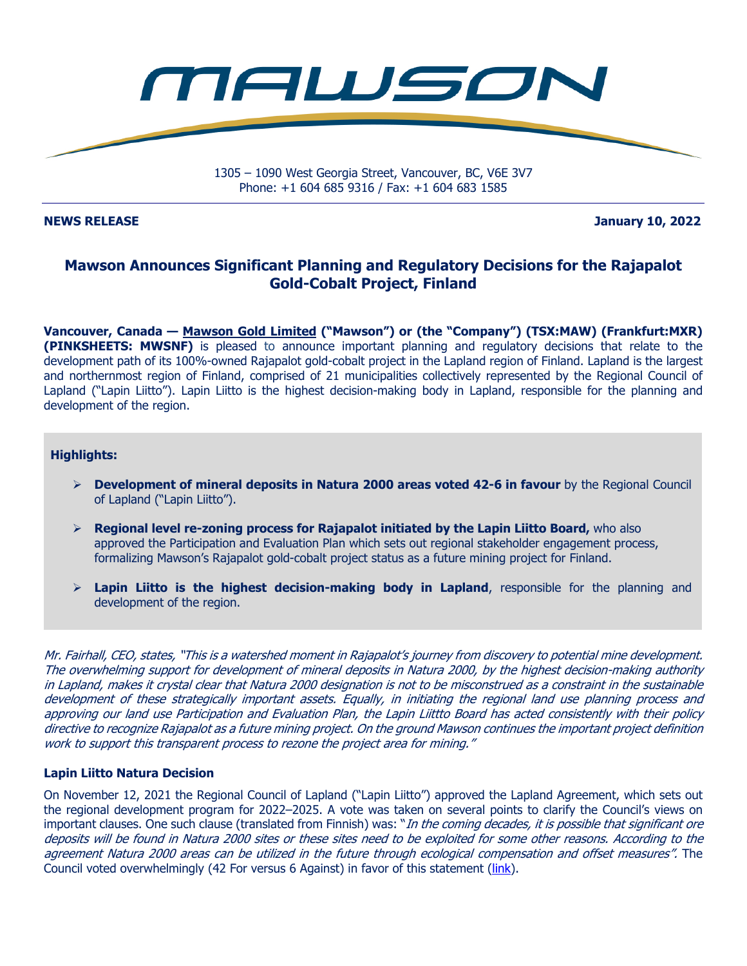

**NEWS RELEASE January 10, 2022** 

# **Mawson Announces Significant Planning and Regulatory Decisions for the Rajapalot Gold-Cobalt Project, Finland**

**Vancouver, Canada — Mawson Gold Limited ("Mawson") or (the "Company") (TSX:MAW) (Frankfurt:MXR) (PINKSHEETS: MWSNF)** is pleased to announce important planning and regulatory decisions that relate to the development path of its 100%-owned Rajapalot gold-cobalt project in the Lapland region of Finland. Lapland is the largest and northernmost region of Finland, comprised of 21 municipalities collectively represented by the Regional Council of Lapland ("Lapin Liitto"). Lapin Liitto is the highest decision-making body in Lapland, responsible for the planning and development of the region.

#### **Highlights:**

- **Development of mineral deposits in Natura 2000 areas voted 42-6 in favour** by the Regional Council of Lapland ("Lapin Liitto").
- **Regional level re-zoning process for Rajapalot initiated by the Lapin Liitto Board,** who also approved the Participation and Evaluation Plan which sets out regional stakeholder engagement process, formalizing Mawson's Rajapalot gold-cobalt project status as a future mining project for Finland.
- $\triangleright$  **Lapin Liitto is the highest decision-making body in Lapland**, responsible for the planning and development of the region.

Mr. Fairhall, CEO, states, "This is a watershed moment in Rajapalot's journey from discovery to potential mine development. The overwhelming support for development of mineral deposits in Natura 2000, by the highest decision-making authority in Lapland, makes it crystal clear that Natura 2000 designation is not to be misconstrued as a constraint in the sustainable development of these strategically important assets. Equally, in initiating the regional land use planning process and approving our land use Participation and Evaluation Plan, the Lapin Liittto Board has acted consistently with their policy directive to recognize Rajapalot as a future mining project. On the ground Mawson continues the important project definition work to support this transparent process to rezone the project area for mining."

#### **Lapin Liitto Natura Decision**

On November 12, 2021 the Regional Council of Lapland ("Lapin Liitto") approved the Lapland Agreement, which sets out the regional development program for 2022–2025. A vote was taken on several points to clarify the Council's views on important clauses. One such clause (translated from Finnish) was: "In the coming decades, it is possible that significant ore deposits will be found in Natura 2000 sites or these sites need to be exploited for some other reasons. According to the agreement Natura 2000 areas can be utilized in the future through ecological compensation and offset measures". The Council voted overwhelmingly (42 For versus 6 Against) in favor of this statement (link).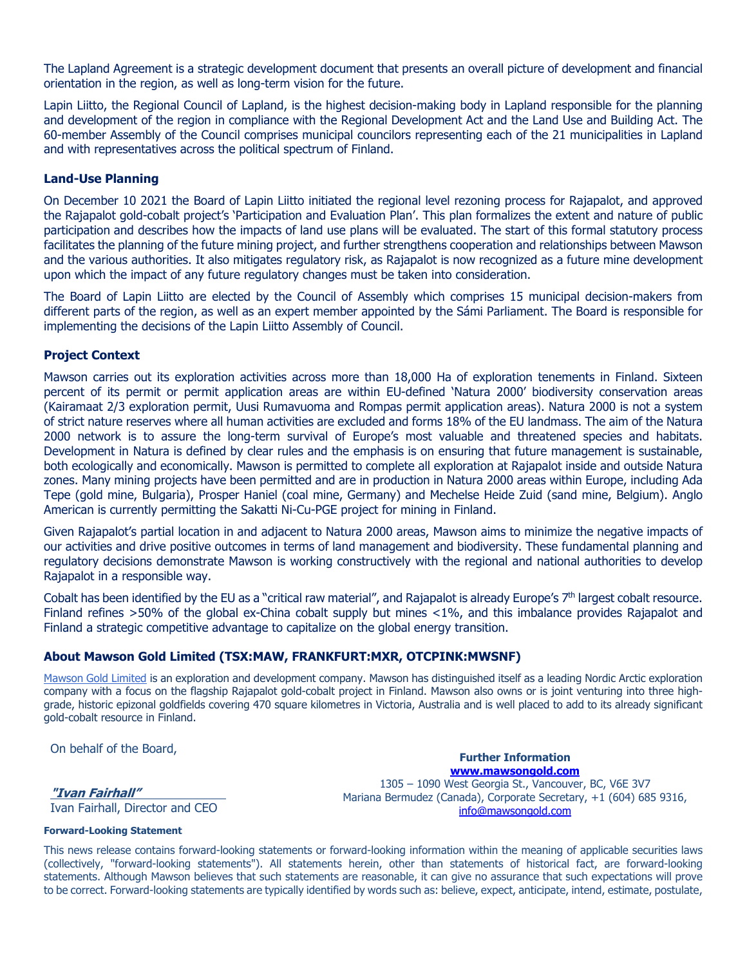The Lapland Agreement is a strategic development document that presents an overall picture of development and financial orientation in the region, as well as long-term vision for the future.

Lapin Liitto, the Regional Council of Lapland, is the highest decision-making body in Lapland responsible for the planning and development of the region in compliance with the Regional Development Act and the Land Use and Building Act. The 60-member Assembly of the Council comprises municipal councilors representing each of the 21 municipalities in Lapland and with representatives across the political spectrum of Finland.

### **Land-Use Planning**

On December 10 2021 the Board of Lapin Liitto initiated the regional level rezoning process for Rajapalot, and approved the Rajapalot gold-cobalt project's 'Participation and Evaluation Plan'. This plan formalizes the extent and nature of public participation and describes how the impacts of land use plans will be evaluated. The start of this formal statutory process facilitates the planning of the future mining project, and further strengthens cooperation and relationships between Mawson and the various authorities. It also mitigates regulatory risk, as Rajapalot is now recognized as a future mine development upon which the impact of any future regulatory changes must be taken into consideration.

The Board of Lapin Liitto are elected by the Council of Assembly which comprises 15 municipal decision-makers from different parts of the region, as well as an expert member appointed by the Sámi Parliament. The Board is responsible for implementing the decisions of the Lapin Liitto Assembly of Council.

#### **Project Context**

Mawson carries out its exploration activities across more than 18,000 Ha of exploration tenements in Finland. Sixteen percent of its permit or permit application areas are within EU-defined 'Natura 2000' biodiversity conservation areas (Kairamaat 2/3 exploration permit, Uusi Rumavuoma and Rompas permit application areas). Natura 2000 is not a system of strict nature reserves where all human activities are excluded and forms 18% of the EU landmass. The aim of the Natura 2000 network is to assure the long-term survival of Europe's most valuable and threatened species and habitats. Development in Natura is defined by clear rules and the emphasis is on ensuring that future management is sustainable, both ecologically and economically. Mawson is permitted to complete all exploration at Rajapalot inside and outside Natura zones. Many mining projects have been permitted and are in production in Natura 2000 areas within Europe, including Ada Tepe (gold mine, Bulgaria), Prosper Haniel (coal mine, Germany) and Mechelse Heide Zuid (sand mine, Belgium). Anglo American is currently permitting the Sakatti Ni-Cu-PGE project for mining in Finland.

Given Rajapalot's partial location in and adjacent to Natura 2000 areas, Mawson aims to minimize the negative impacts of our activities and drive positive outcomes in terms of land management and biodiversity. These fundamental planning and regulatory decisions demonstrate Mawson is working constructively with the regional and national authorities to develop Rajapalot in a responsible way.

Cobalt has been identified by the EU as a "critical raw material", and Rajapalot is already Europe's 7th largest cobalt resource. Finland refines >50% of the global ex-China cobalt supply but mines <1%, and this imbalance provides Rajapalot and Finland a strategic competitive advantage to capitalize on the global energy transition.

## **About Mawson Gold Limited (TSX:MAW, FRANKFURT:MXR, OTCPINK:MWSNF)**

Mawson Gold Limited is an exploration and development company. Mawson has distinguished itself as a leading Nordic Arctic exploration company with a focus on the flagship Rajapalot gold-cobalt project in Finland. Mawson also owns or is joint venturing into three highgrade, historic epizonal goldfields covering 470 square kilometres in Victoria, Australia and is well placed to add to its already significant gold-cobalt resource in Finland.

On behalf of the Board,

#### **"Ivan Fairhall"**

Ivan Fairhall, Director and CEO

#### **Forward-Looking Statement**

**www.mawsongold.com** 1305 – 1090 West Georgia St., Vancouver, BC, V6E 3V7 Mariana Bermudez (Canada), Corporate Secretary, +1 (604) 685 9316, info@mawsongold.com

**Further Information** 

This news release contains forward-looking statements or forward-looking information within the meaning of applicable securities laws (collectively, "forward-looking statements"). All statements herein, other than statements of historical fact, are forward-looking statements. Although Mawson believes that such statements are reasonable, it can give no assurance that such expectations will prove to be correct. Forward-looking statements are typically identified by words such as: believe, expect, anticipate, intend, estimate, postulate,